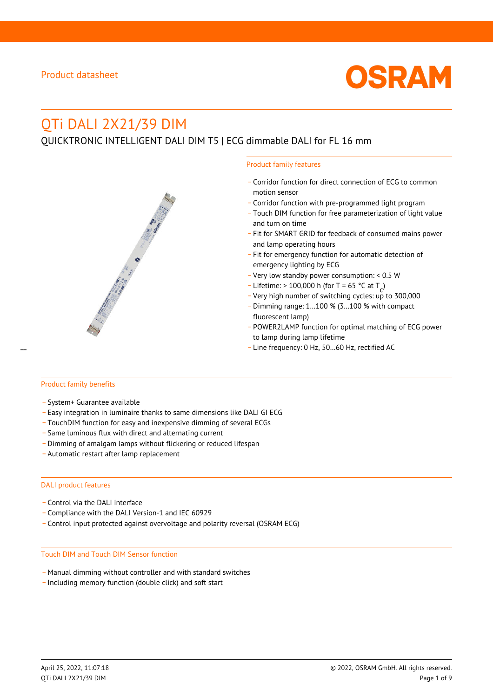

# QTi DALI 2X21/39 DIM

# QUICKTRONIC INTELLIGENT DALI DIM T5 | ECG dimmable DALI for FL 16 mm



- \_ Corridor function for direct connection of ECG to common motion sensor
- \_ Corridor function with pre-programmed light program
- \_ Touch DIM function for free parameterization of light value and turn on time
- Fit for SMART GRID for feedback of consumed mains power and lamp operating hours
- \_ Fit for emergency function for automatic detection of emergency lighting by ECG
- \_ Very low standby power consumption: < 0.5 W
- $-$  Lifetime: > 100,000 h (for T = 65 °C at T
- Litedine. The 100,000 in (ion 1 05 ° C at  $1\frac{c^7}{c^7}$ <br>- Very high number of switching cycles: up to 300,000
- \_ Dimming range: 1…100 % (3…100 % with compact fluorescent lamp)
- POWER2LAMP function for optimal matching of ECG power to lamp during lamp lifetime
- Line frequency: 0 Hz, 50...60 Hz, rectified AC

#### Product family benefits

- \_ System+ Guarantee available
- \_ Easy integration in luminaire thanks to same dimensions like DALI GI ECG
- \_ TouchDIM function for easy and inexpensive dimming of several ECGs
- \_ Same luminous flux with direct and alternating current
- \_ Dimming of amalgam lamps without flickering or reduced lifespan
- \_ Automatic restart after lamp replacement

#### DALI product features

- Control via the DALI interface
- \_ Compliance with the DALI Version-1 and IEC 60929
- \_ Control input protected against overvoltage and polarity reversal (OSRAM ECG)

#### Touch DIM and Touch DIM Sensor function

- \_ Manual dimming without controller and with standard switches
- \_ Including memory function (double click) and soft start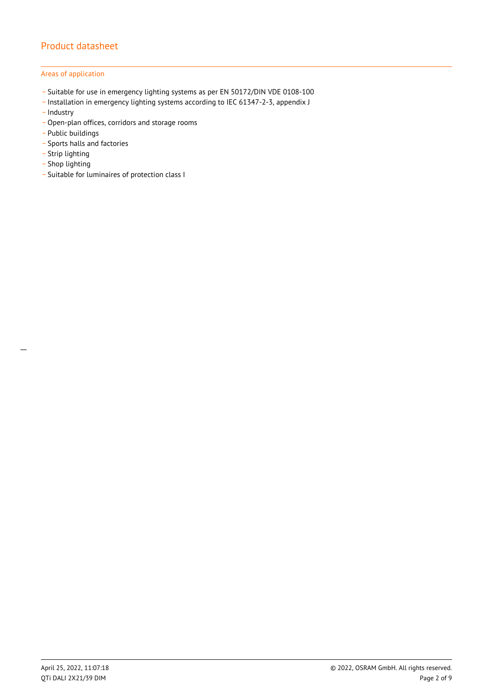## Areas of application

- \_ Suitable for use in emergency lighting systems as per EN 50172/DIN VDE 0108-100
- \_ Installation in emergency lighting systems according to IEC 61347-2-3, appendix J
- Industry
- \_ Open-plan offices, corridors and storage rooms
- \_ Public buildings
- \_ Sports halls and factories
- .<br>- Strip lighting
- \_ Shop lighting
- \_ Suitable for luminaires of protection class I

 $\overline{a}$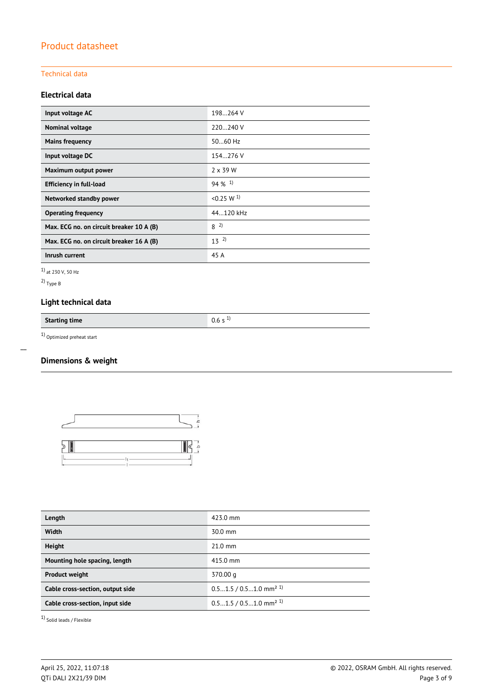## Technical data

## **Electrical data**

| Input voltage AC                         | 198264 V              |
|------------------------------------------|-----------------------|
| Nominal voltage                          | 220240 V              |
| <b>Mains frequency</b>                   | $5060$ Hz             |
| Input voltage DC                         | 154.276 V             |
| Maximum output power                     | $2 \times 39$ W       |
| <b>Efficiency in full-load</b>           | $94\%$ <sup>1)</sup>  |
| Networked standby power                  | < 0.25 W <sup>1</sup> |
| <b>Operating frequency</b>               | 44.120 kHz            |
| Max. ECG no. on circuit breaker 10 A (B) | $8^{2}$               |
| Max. ECG no. on circuit breaker 16 A (B) | $13^{2}$              |
| Inrush current                           | 45 A                  |

1) at 230 V, 50 Hz

2) Type B

 $\overline{a}$ 

## **Light technical data**

**Starting time** 0.6 s <sup>1)</sup>

 $1)$  Optimized preheat start

## **Dimensions & weight**



| Length                           | 423.0 mm                             |
|----------------------------------|--------------------------------------|
| <b>Width</b>                     | $30.0$ mm                            |
| <b>Height</b>                    | $21.0$ mm                            |
| Mounting hole spacing, length    | 415.0 mm                             |
| <b>Product weight</b>            | 370.00 g                             |
| Cable cross-section, output side | $0.51.5 / 0.51.0$ mm <sup>2 1)</sup> |
| Cable cross-section, input side  | $0.51.5 / 0.51.0$ mm <sup>2 1)</sup> |

1) Solid leads / Flexible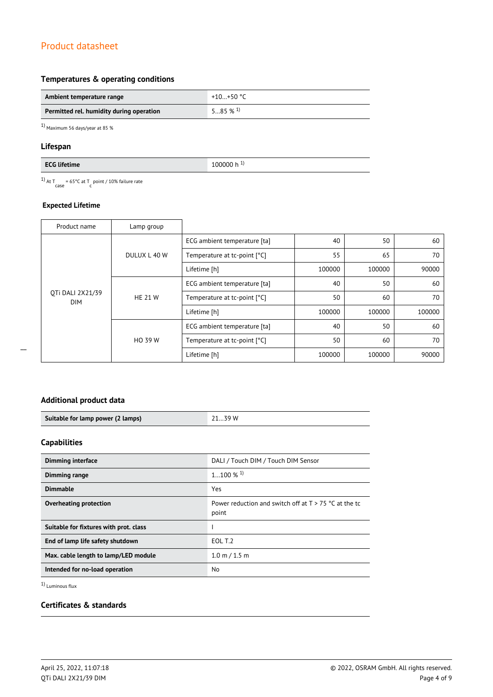## **Temperatures & operating conditions**

| Ambient temperature range                | +10+50 °C             |
|------------------------------------------|-----------------------|
| Permitted rel. humidity during operation | $585\%$ <sup>1)</sup> |

1) Maximum 56 days/year at 85 %

## **Lifespan**

<sup>1)</sup> At T<sub>case</sub> = 65°C at T<sub>c</sub> point / 10% failure rate

## **Expected Lifetime**

| Product name                   | Lamp group     |                              |        |        |        |
|--------------------------------|----------------|------------------------------|--------|--------|--------|
| OTi DALI 2X21/39<br><b>DIM</b> | DULUX L 40 W   | ECG ambient temperature [ta] | 40     | 50     | 60     |
|                                |                | Temperature at tc-point [°C] | 55     | 65     | 70     |
|                                |                | Lifetime [h]                 | 100000 | 100000 | 90000  |
|                                | <b>HE 21 W</b> | ECG ambient temperature [ta] | 40     | 50     | 60     |
|                                |                | Temperature at tc-point [°C] | 50     | 60     | 70     |
|                                |                | Lifetime [h]                 | 100000 | 100000 | 100000 |
|                                | HO 39 W        | ECG ambient temperature [ta] | 40     | 50     | 60     |
|                                |                | Temperature at tc-point [°C] | 50     | 60     | 70     |
|                                |                | Lifetime [h]                 | 100000 | 100000 | 90000  |

## **Additional product data**

| Suitable for lamp power (2 lamps) | 39 W |
|-----------------------------------|------|

## **Capabilities**

| <b>Dimming interface</b>               | DALI / Touch DIM / Touch DIM Sensor                              |
|----------------------------------------|------------------------------------------------------------------|
| Dimming range                          | $1100\%$ <sup>1)</sup>                                           |
| <b>Dimmable</b>                        | Yes                                                              |
| Overheating protection                 | Power reduction and switch off at $T > 75$ °C at the tc<br>point |
| Suitable for fixtures with prot. class |                                                                  |
| End of lamp life safety shutdown       | EOL T.2                                                          |
| Max. cable length to lamp/LED module   | $1.0 \text{ m} / 1.5 \text{ m}$                                  |
| Intended for no-load operation         | No.                                                              |

1) Luminous flux

## **Certificates & standards**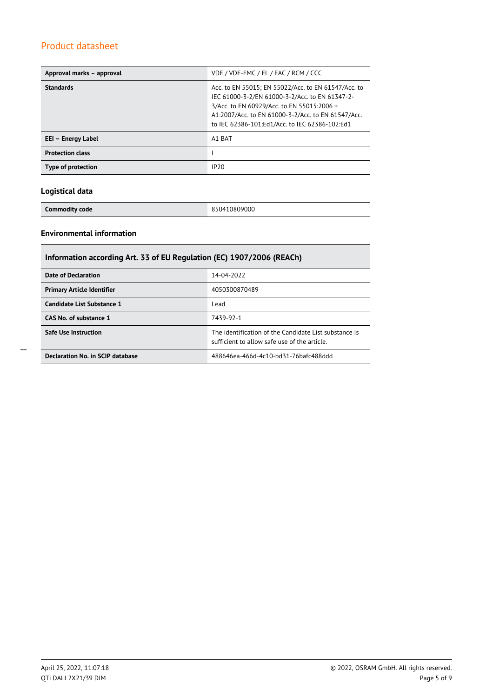| Approval marks - approval | VDE / VDE-EMC / EL / EAC / RCM / CCC                                                                                                                                                                                                                        |
|---------------------------|-------------------------------------------------------------------------------------------------------------------------------------------------------------------------------------------------------------------------------------------------------------|
| <b>Standards</b>          | Acc. to EN 55015; EN 55022/Acc. to EN 61547/Acc. to<br>IEC 61000-3-2/EN 61000-3-2/Acc. to EN 61347-2-<br>3/Acc. to EN 60929/Acc. to EN 55015:2006 +<br>A1:2007/Acc. to EN 61000-3-2/Acc. to EN 61547/Acc.<br>to IEC 62386-101:Ed1/Acc. to IEC 62386-102:Ed1 |
| EEI – Energy Label        | A1 BAT                                                                                                                                                                                                                                                      |
| <b>Protection class</b>   |                                                                                                                                                                                                                                                             |
| Type of protection        | IP20                                                                                                                                                                                                                                                        |

## **Logistical data**

**Commodity code** 850410809000

## **Environmental information**

| Information according Art. 33 of EU Regulation (EC) 1907/2006 (REACh) |                                                                                                      |  |  |
|-----------------------------------------------------------------------|------------------------------------------------------------------------------------------------------|--|--|
| Date of Declaration                                                   | 14-04-2022                                                                                           |  |  |
| <b>Primary Article Identifier</b>                                     | 4050300870489                                                                                        |  |  |
| Candidate List Substance 1                                            | Lead                                                                                                 |  |  |
| CAS No. of substance 1                                                | 7439-92-1                                                                                            |  |  |
| <b>Safe Use Instruction</b>                                           | The identification of the Candidate List substance is<br>sufficient to allow safe use of the article |  |  |
| Declaration No. in SCIP database                                      | 488646ea-466d-4c10-bd31-76bafc488ddd                                                                 |  |  |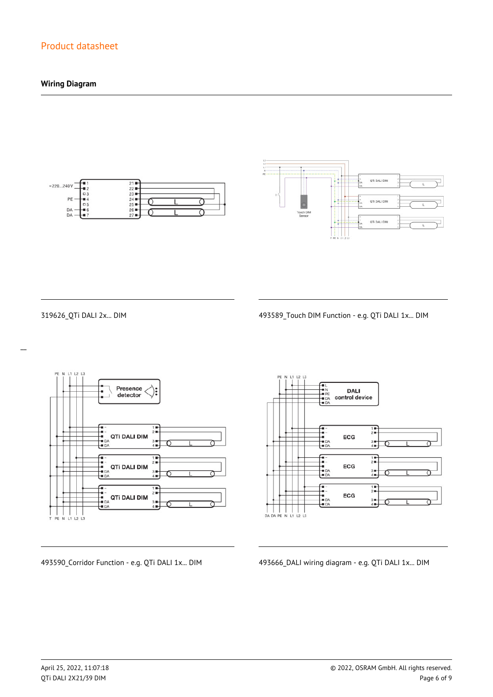## **Wiring Diagram**





 $\overline{a}$ 

319626\_QTi DALI 2x... DIM 493589\_Touch DIM Function - e.g. QTi DALI 1x... DIM



**DALI** control device  $\frac{1}{2}$ ECG  $\frac{3}{4}$  $\begin{array}{c}\n\overline{11} \\
\overline{21} \\
\overline{11}\n\end{array}$ -<br>- 1<br>- DA<br>- DA ECG  $3 +$ <br> $4 +$  $\frac{1}{2}$ --<br>--<br>-- DA<br>-- DA ECG  $3 +$ <br> $4 +$ 

493590\_Corridor Function - e.g. QTi DALI 1x... DIM 493666\_DALI wiring diagram - e.g. QTi DALI 1x... DIM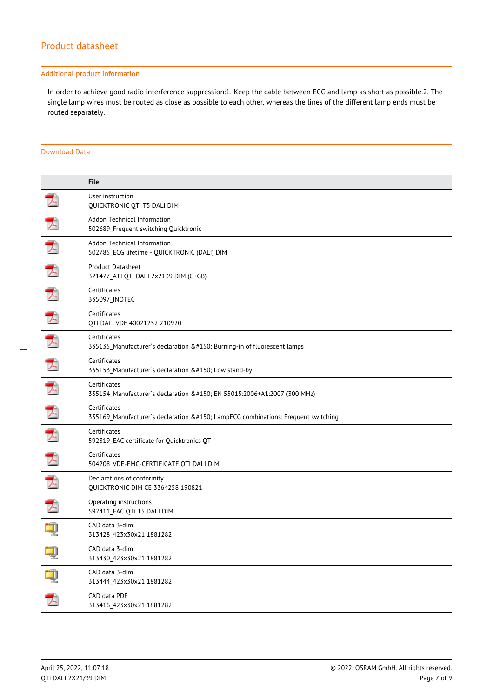#### Additional product information

\_ In order to achieve good radio interference suppression:1. Keep the cable between ECG and lamp as short as possible.2. The single lamp wires must be routed as close as possible to each other, whereas the lines of the different lamp ends must be routed separately.

#### Download Data

|   | <b>File</b>                                                                                  |
|---|----------------------------------------------------------------------------------------------|
|   | User instruction<br>QUICKTRONIC QTi T5 DALI DIM                                              |
|   | Addon Technical Information<br>502689 Frequent switching Quicktronic                         |
| ᆺ | Addon Technical Information<br>502785_ECG lifetime - QUICKTRONIC (DALI) DIM                  |
|   | <b>Product Datasheet</b><br>321477 ATI QTi DALI 2x2139 DIM (G+GB)                            |
|   | Certificates<br>335097_INOTEC                                                                |
| ⊀ | Certificates<br>QTI DALI VDE 40021252 210920                                                 |
|   | Certificates<br>335135_Manufacturer's declaration – Burning-in of fluorescent lamps          |
| ᄌ | Certificates<br>335153_Manufacturer's declaration – Low stand-by                             |
| 天 | Certificates<br>335154_Manufacturer's declaration – EN 55015:2006+A1:2007 (300 MHz)          |
|   | Certificates<br>335169_Manufacturer's declaration – LampECG combinations: Frequent switching |
| 入 | Certificates<br>592319_EAC certificate for Quicktronics QT                                   |
|   | Certificates<br>504208_VDE-EMC-CERTIFICATE QTI DALI DIM                                      |
|   | Declarations of conformity<br>QUICKTRONIC DIM CE 3364258 190821                              |
|   | Operating instructions<br>592411_EAC QTi T5 DALI DIM                                         |
|   | CAD data 3-dim<br>313428_423x30x21 1881282                                                   |
|   | CAD data 3-dim<br>313430_423x30x21 1881282                                                   |
| ą | CAD data 3-dim<br>313444_423x30x21 1881282                                                   |
| プ | CAD data PDF<br>313416_423x30x21 1881282                                                     |
|   |                                                                                              |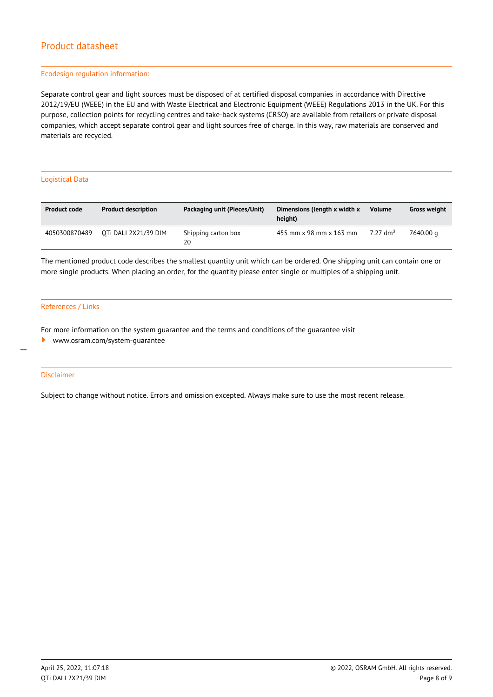#### Ecodesign regulation information:

Separate control gear and light sources must be disposed of at certified disposal companies in accordance with Directive 2012/19/EU (WEEE) in the EU and with Waste Electrical and Electronic Equipment (WEEE) Regulations 2013 in the UK. For this purpose, collection points for recycling centres and take-back systems (CRSO) are available from retailers or private disposal companies, which accept separate control gear and light sources free of charge. In this way, raw materials are conserved and materials are recycled.

#### Logistical Data

| <b>Product code</b> | <b>Product description</b> | Packaging unit (Pieces/Unit) | Dimensions (length x width x<br>height) | <b>Volume</b>        | <b>Gross weight</b> |
|---------------------|----------------------------|------------------------------|-----------------------------------------|----------------------|---------------------|
| 4050300870489       | OTI DALI 2X21/39 DIM       | Shipping carton box<br>20    | 455 mm x 98 mm x 163 mm                 | 7.27 dm <sup>3</sup> | 7640.00 a           |

The mentioned product code describes the smallest quantity unit which can be ordered. One shipping unit can contain one or more single products. When placing an order, for the quantity please enter single or multiples of a shipping unit.

#### References / Links

For more information on the system guarantee and the terms and conditions of the guarantee visit

<www.osram.com/system-guarantee>

#### Disclaimer

 $\overline{a}$ 

Subject to change without notice. Errors and omission excepted. Always make sure to use the most recent release.